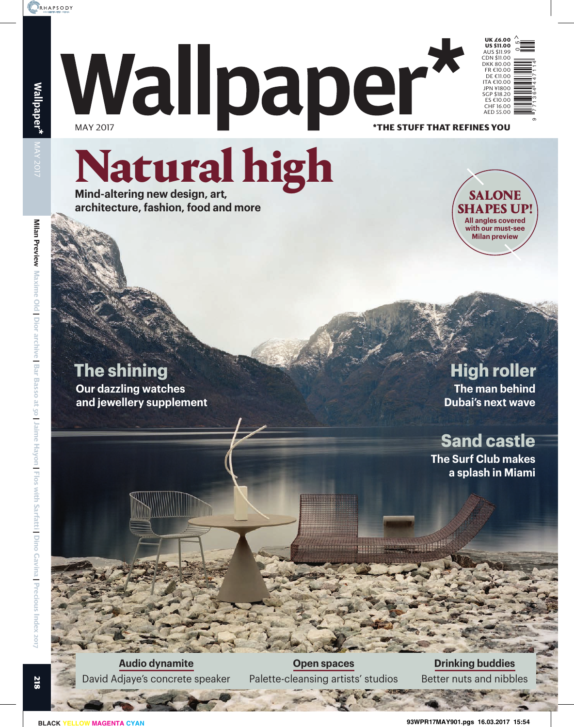

**UK £6.00**

ם<br>0

9 1771364 447114

\***THE STUFF THAT REFINES YOU** Wallpaper'

# Natural high

**Mind-altering new design, art, architecture, fashion, food and more**



## **The shining**

**Our dazzling watches and jewellery supplement** **High roller The man behind** 

**Dubai's next wave**

## **Sand castle**

**The Surf Club makes a splash in Miami**

**Audio dynamite** David Adjaye's concrete speaker

**Open spaces** Palette-cleansing artists' studios

**Drinking buddies** Better nuts and nibbles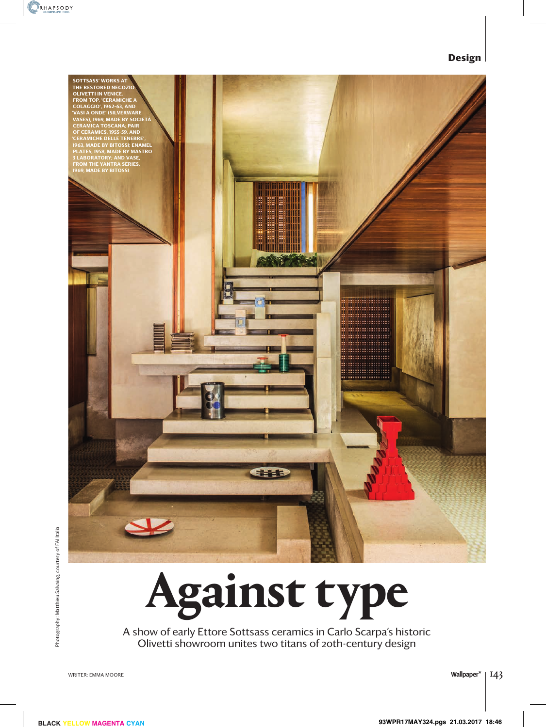#### **Design**



A show of early Ettore Sottsass ceramics in Carlo Scarpa's historic Olivetti showroom unites two titans of 20th-century design